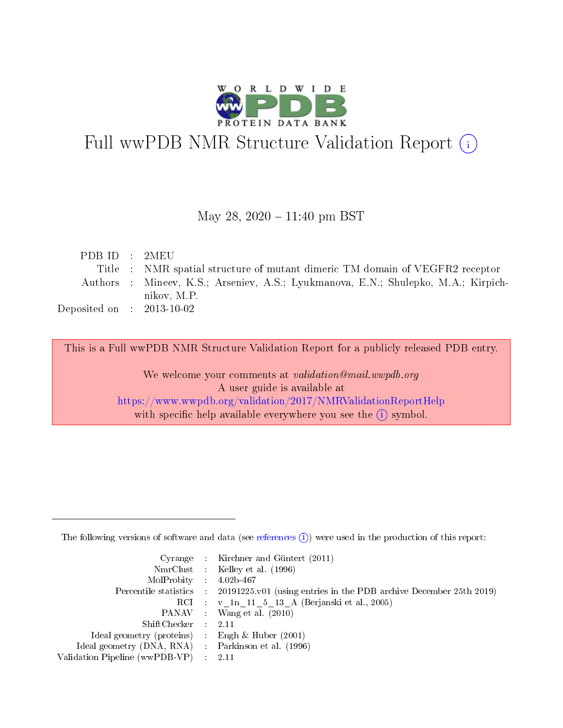

# Full wwPDB NMR Structure Validation Report (i)

### May 28,  $2020 - 11:40$  pm BST

| PDB ID : 2MEU                        |                                                                                   |
|--------------------------------------|-----------------------------------------------------------------------------------|
|                                      | Title : NMR spatial structure of mutant dimeric TM domain of VEGFR2 receptor      |
|                                      | Authors: Mineev, K.S.; Arseniev, A.S.; Lyukmanova, E.N.; Shulepko, M.A.; Kirpich- |
|                                      | nikov, M.P.                                                                       |
| Deposited on $\therefore$ 2013-10-02 |                                                                                   |

This is a Full wwPDB NMR Structure Validation Report for a publicly released PDB entry.

We welcome your comments at validation@mail.wwpdb.org A user guide is available at <https://www.wwpdb.org/validation/2017/NMRValidationReportHelp> with specific help available everywhere you see the  $(i)$  symbol.

The following versions of software and data (see [references](https://www.wwpdb.org/validation/2017/NMRValidationReportHelp#references)  $(1)$ ) were used in the production of this report:

|                                                     | Cyrange : Kirchner and Güntert $(2011)$                                                    |
|-----------------------------------------------------|--------------------------------------------------------------------------------------------|
|                                                     | NmrClust : Kelley et al. (1996)                                                            |
| $MolProbability$ 4.02b-467                          |                                                                                            |
|                                                     | Percentile statistics : 20191225.v01 (using entries in the PDB archive December 25th 2019) |
|                                                     | RCI : v 1n 11 5 13 A (Berjanski et al., 2005)                                              |
|                                                     | PANAV Wang et al. (2010)                                                                   |
| $ShiftChecker$ 2.11                                 |                                                                                            |
| Ideal geometry (proteins) : Engh $\&$ Huber (2001)  |                                                                                            |
| Ideal geometry (DNA, RNA) : Parkinson et al. (1996) |                                                                                            |
| Validation Pipeline (wwPDB-VP)                      | $\sim 2.11$                                                                                |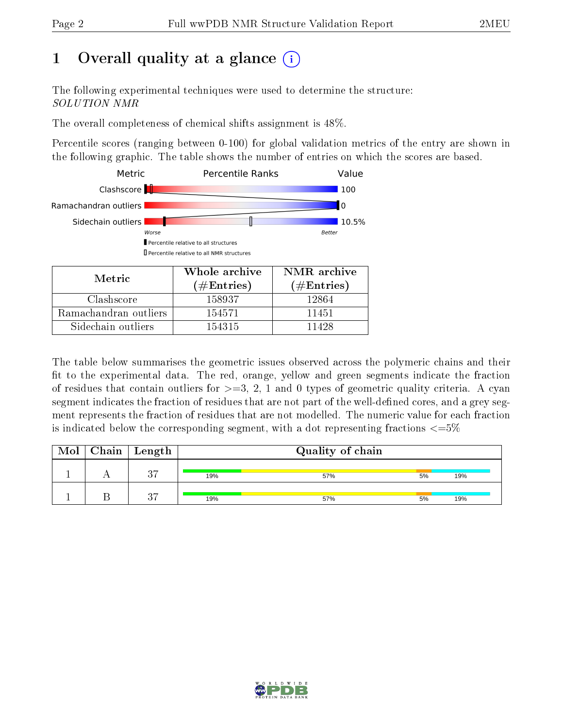# 1 [O](https://www.wwpdb.org/validation/2017/NMRValidationReportHelp#overall_quality)verall quality at a glance (i)

The following experimental techniques were used to determine the structure: SOLUTION NMR

The overall completeness of chemical shifts assignment is 48%.

Percentile scores (ranging between 0-100) for global validation metrics of the entry are shown in the following graphic. The table shows the number of entries on which the scores are based.



The table below summarises the geometric issues observed across the polymeric chains and their fit to the experimental data. The red, orange, yellow and green segments indicate the fraction of residues that contain outliers for  $>=3, 2, 1$  and 0 types of geometric quality criteria. A cyan segment indicates the fraction of residues that are not part of the well-defined cores, and a grey segment represents the fraction of residues that are not modelled. The numeric value for each fraction is indicated below the corresponding segment, with a dot representing fractions  $\epsilon = 5\%$ 

| Mol | Chain | Length   |     | Quality of chain |    |     |
|-----|-------|----------|-----|------------------|----|-----|
|     |       | $\Omega$ | 19% | 57%              | 5% | 19% |
|     |       | $\Omega$ | 19% | 57%              | 5% | 19% |

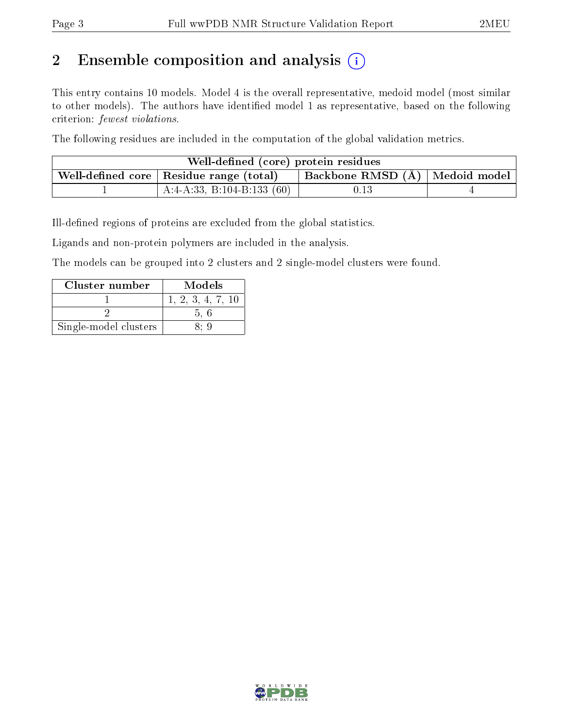# 2 Ensemble composition and analysis  $(i)$

This entry contains 10 models. Model 4 is the overall representative, medoid model (most similar to other models). The authors have identified model 1 as representative, based on the following criterion: fewest violations.

The following residues are included in the computation of the global validation metrics.

| Well-defined (core) protein residues                    |                                  |  |
|---------------------------------------------------------|----------------------------------|--|
| . Well-defined core $\mid$ Residue range (total) $\mid$ | Backbone RMSD (Å)   Medoid model |  |
| $^{\circ}$ A:4-A:33, B:104-B:133 (60)                   | $\rm 0.13$                       |  |

Ill-defined regions of proteins are excluded from the global statistics.

Ligands and non-protein polymers are included in the analysis.

The models can be grouped into 2 clusters and 2 single-model clusters were found.

| Cluster number        | Models            |
|-----------------------|-------------------|
|                       | 1, 2, 3, 4, 7, 10 |
|                       | 5.6               |
| Single-model clusters |                   |

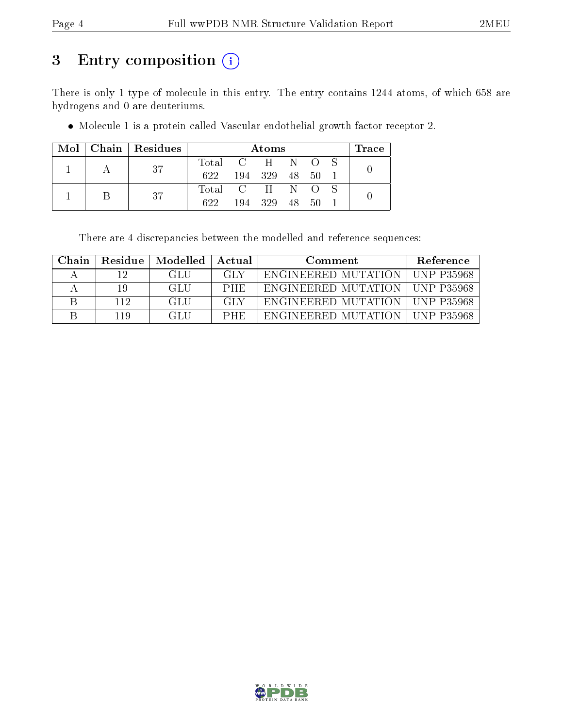# 3 Entry composition (i)

There is only 1 type of molecule in this entry. The entry contains 1244 atoms, of which 658 are hydrogens and 0 are deuteriums.

Molecule 1 is a protein called Vascular endothelial growth factor receptor 2.

|  | $Mol$   Chain   Residues |                 |     | Atoms |              |      | Trace |
|--|--------------------------|-----------------|-----|-------|--------------|------|-------|
|  | -37                      | Total C H N O S |     |       |              |      |       |
|  |                          | 622             | 194 | 329   | 48.          | - 50 |       |
|  | -37                      | Total C H       |     |       | $\mathbb{N}$ | - 0  |       |
|  |                          | 622.            | 194 | 329   | 48.          | 50   |       |

There are 4 discrepancies between the modelled and reference sequences:

| Chain | Residue | Modelled | Actual     | Comment                                 | <b>Reference</b>   |
|-------|---------|----------|------------|-----------------------------------------|--------------------|
|       | י ו     | GLU      | GLY        | ENGINEERED MUTATION   UNP P35968        |                    |
|       | 19      | GLU      | <b>PHE</b> | ENGINEERED MUTATION   UNP P35968        |                    |
|       | 112     | GLU      | -GLY       | <b>ENGINEERED MUTATION   UNP P35968</b> |                    |
|       | 119     | GLU.     | PHE        | ENGINEERED MUTATION                     | <b>IINP P35968</b> |

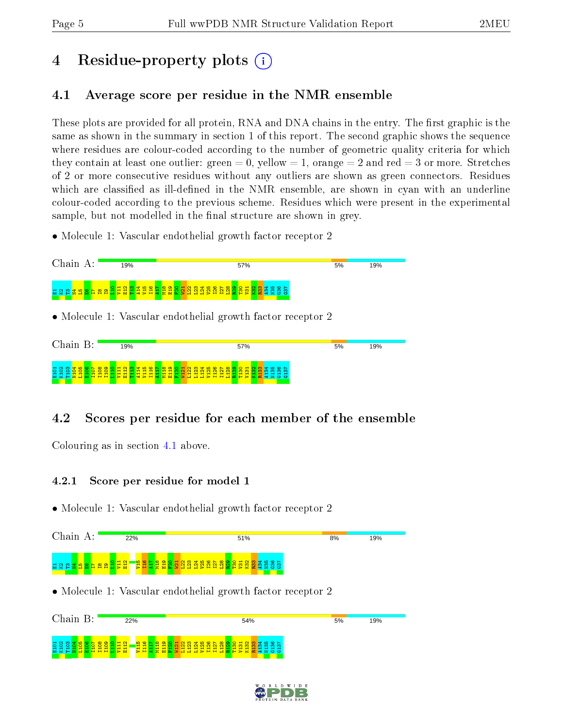# 4 Residue-property plots  $\binom{1}{1}$

## <span id="page-4-0"></span>4.1 Average score per residue in the NMR ensemble

These plots are provided for all protein, RNA and DNA chains in the entry. The first graphic is the same as shown in the summary in section 1 of this report. The second graphic shows the sequence where residues are colour-coded according to the number of geometric quality criteria for which they contain at least one outlier: green  $= 0$ , yellow  $= 1$ , orange  $= 2$  and red  $= 3$  or more. Stretches of 2 or more consecutive residues without any outliers are shown as green connectors. Residues which are classified as ill-defined in the NMR ensemble, are shown in cyan with an underline colour-coded according to the previous scheme. Residues which were present in the experimental sample, but not modelled in the final structure are shown in grey.

• Molecule 1: Vascular endothelial growth factor receptor 2



## 4.2 Scores per residue for each member of the ensemble

Colouring as in section [4.1](#page-4-0) above.

### 4.2.1 Score per residue for model 1



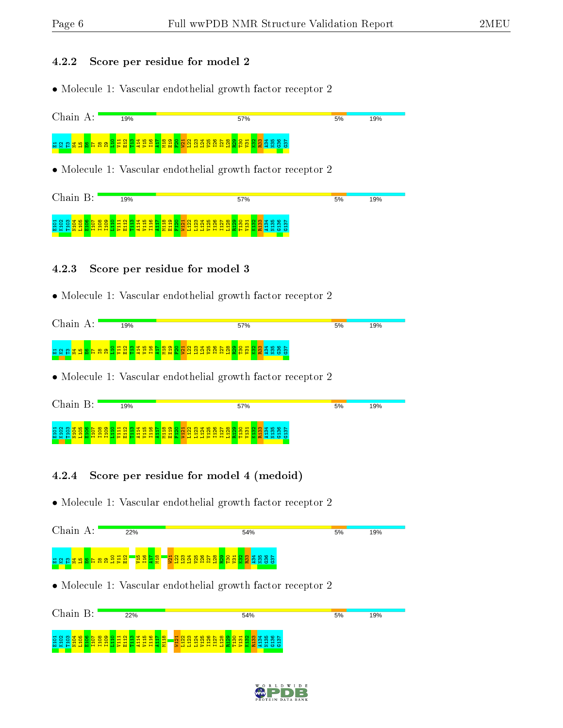#### 4.2.2 Score per residue for model 2

• Molecule 1: Vascular endothelial growth factor receptor 2



| Chain                                         |    | $\mathbf{R} \cdot$ |                                                    |        | 19% |              |  |                                                                         |            |   |  |   |   |                          |                                        |   | 57%                                                       |  |                |        |            |  |  |  | 5% |  | 19% |  |
|-----------------------------------------------|----|--------------------|----------------------------------------------------|--------|-----|--------------|--|-------------------------------------------------------------------------|------------|---|--|---|---|--------------------------|----------------------------------------|---|-----------------------------------------------------------|--|----------------|--------|------------|--|--|--|----|--|-----|--|
| $H$ $N$<br>99<br><b>NKH</b><br>' <b>2 d M</b> | -- |                    | $\infty$ $\infty$<br>ᆔ<br>$\overline{\phantom{0}}$ | −<br>- |     | <u>ਜ ਜ ਜ</u> |  | <mark>er a s f a s h a s h s a s s s s s s s s</mark><br><u>ਜ ਜ ਜ ਜ</u> | <b>MAS</b> | - |  | - | ᆔ | $\overline{\phantom{a}}$ | $\blacksquare$<br><b>HPHHHEFPXESOU</b> | − | o o <del>u</del> a <mark>w a o r</mark><br>$\blacksquare$ |  | m <sub>m</sub> | ന<br>. | <b>m</b> m |  |  |  |    |  |     |  |

#### 4.2.3 Score per residue for model 3

• Molecule 1: Vascular endothelial growth factor receptor 2



• Molecule 1: Vascular endothelial growth factor receptor 2

| Chain                                     | R. |  | 19% |  |                        |          |        |  |    |        |        |   |                 | 57%                                         |         |             |                            |                             |            |   |  | 5% | 19% |  |
|-------------------------------------------|----|--|-----|--|------------------------|----------|--------|--|----|--------|--------|---|-----------------|---------------------------------------------|---------|-------------|----------------------------|-----------------------------|------------|---|--|----|-----|--|
| H <sub>q</sub><br>O.<br>$M \times H$<br>- |    |  |     |  | ю<br>$\circ$<br>-<br>5 | $\infty$ | െ<br>м |  | NI | m<br>5 | $\sim$ | ∼ | ົ<br>$\sim$ $-$ | $\overline{}$<br><b><i><u>AND 1</u></i></b> | Ñ<br>M. | <b>FEED</b> | <b>H</b><br>$\blacksquare$ | $\circ$ $\circ$ $\sim$<br>÷ | ന<br>$+ +$ | ന |  |    |     |  |

### 4.2.4 Score per residue for model 4 (medoid)



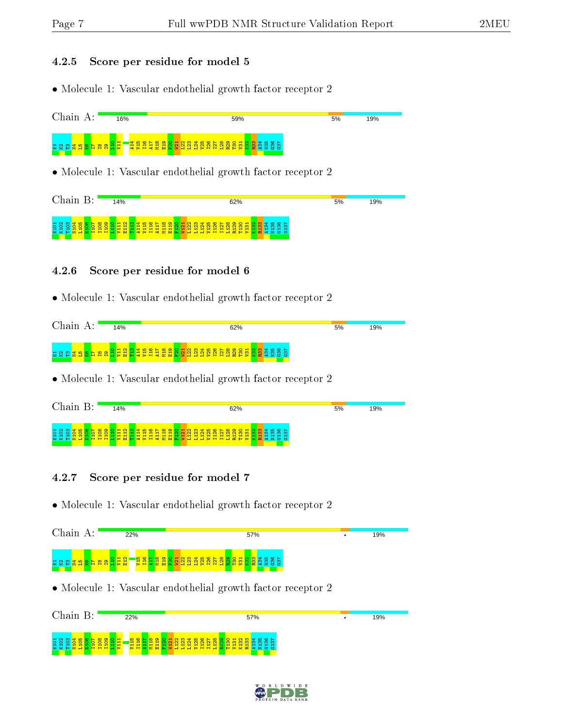#### 4.2.5 Score per residue for model 5

• Molecule 1: Vascular endothelial growth factor receptor 2



| 19% |
|-----|
|     |
|     |
|     |
|     |
|     |
|     |
|     |

### 4.2.6 Score per residue for model 6

• Molecule 1: Vascular endothelial growth factor receptor 2

| Chain | д. | 14%                                                                                                                  |  |  |  |  |  |  | 62% |  |  |  |  |  |  | 5% |  | 19% |  |
|-------|----|----------------------------------------------------------------------------------------------------------------------|--|--|--|--|--|--|-----|--|--|--|--|--|--|----|--|-----|--|
|       |    | <mark>រដ្ឋ ដូង្គី ដូដូដូ ដូន្តី ដូន្តី ដូ</mark> ន្តី ដូន្តី ដូន្តី ដូន្តី ដូ <mark>ន្តី ដូន្តី</mark> និង និន្ទី និ |  |  |  |  |  |  |     |  |  |  |  |  |  |    |  |     |  |

• Molecule 1: Vascular endothelial growth factor receptor 2

| Chain                                 | R٠            |          |  | 14%          |                           |          |                          |                          |                                                                                                                                         |                                        |  |                       |  |   |             | 62% |  |  |                        |            |  | 5% |  | 19% |  |
|---------------------------------------|---------------|----------|--|--------------|---------------------------|----------|--------------------------|--------------------------|-----------------------------------------------------------------------------------------------------------------------------------------|----------------------------------------|--|-----------------------|--|---|-------------|-----|--|--|------------------------|------------|--|----|--|-----|--|
| $M \cap M$<br>$\circ$<br>$M \times H$ | $\sim$ $\sim$ | $\infty$ |  | <b>Sells</b> | $\mathbf{H}$ $\mathbf{H}$ | -<br>$-$ | $\overline{\phantom{0}}$ | ÷<br>ᆔ<br>$\blacksquare$ | O O H N M T N W H N W H N M H D O N W W H N W H D O N<br>$\mathbf -$<br>$\overline{\phantom{0}}$<br>$\overline{}$<br>ᆔ<br>$\leq$ $\geq$ | $\overline{ }$<br>$\sim$<br><b>MAR</b> |  | ᆔ<br>−<br><b>Baas</b> |  | - | ᆔ<br>88 8 8 |     |  |  | m.<br><b>KHPXC4200</b> | <u>ന ന</u> |  |    |  |     |  |

### 4.2.7 Score per residue for model 7





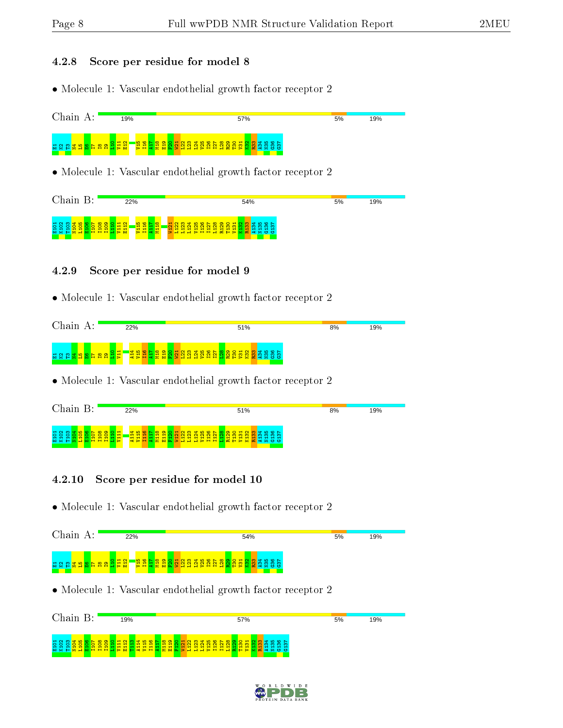#### 4.2.8 Score per residue for model 8

• Molecule 1: Vascular endothelial growth factor receptor 2



• Molecule 1: Vascular endothelial growth factor receptor 2



### 4.2.9 Score per residue for model 9

• Molecule 1: Vascular endothelial growth factor receptor 2



• Molecule 1: Vascular endothelial growth factor receptor 2



#### 4.2.10 Score per residue for model 10



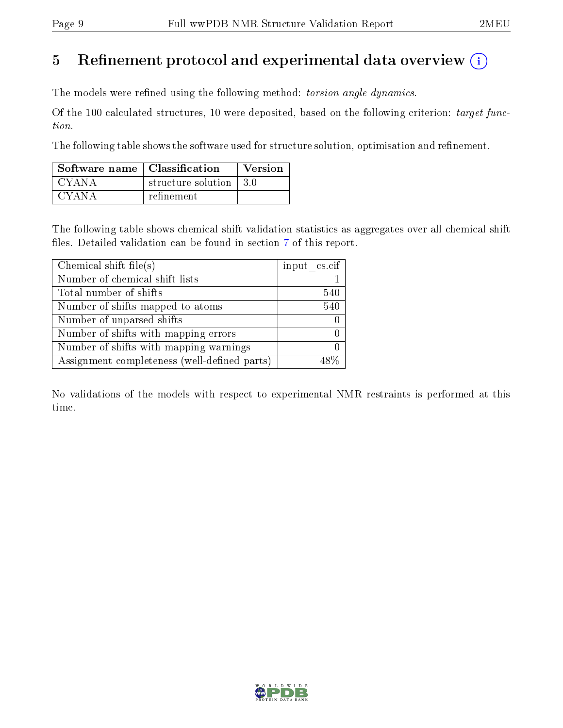## 5 Refinement protocol and experimental data overview  $\binom{1}{k}$

The models were refined using the following method: torsion angle dynamics.

Of the 100 calculated structures, 10 were deposited, based on the following criterion: target function.

The following table shows the software used for structure solution, optimisation and refinement.

| Software name   Classification |                         | Version |
|--------------------------------|-------------------------|---------|
| CYANA                          | structure solution 13.0 |         |
| CYANA                          | refinement              |         |

The following table shows chemical shift validation statistics as aggregates over all chemical shift files. Detailed validation can be found in section [7](#page-17-0) of this report.

| Chemical shift file(s)                       | input cs.cif |
|----------------------------------------------|--------------|
| Number of chemical shift lists               |              |
| Total number of shifts                       | 540          |
| Number of shifts mapped to atoms             | 540          |
| Number of unparsed shifts                    |              |
| Number of shifts with mapping errors         |              |
| Number of shifts with mapping warnings       |              |
| Assignment completeness (well-defined parts) |              |

No validations of the models with respect to experimental NMR restraints is performed at this time.

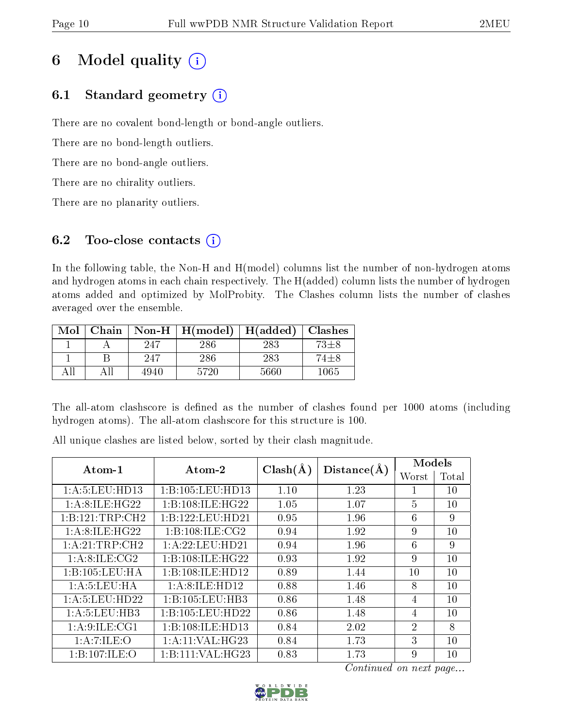# 6 Model quality  $(i)$

## 6.1 Standard geometry  $(i)$

There are no covalent bond-length or bond-angle outliers.

There are no bond-length outliers.

There are no bond-angle outliers.

There are no chirality outliers.

There are no planarity outliers.

## 6.2 Too-close contacts  $(i)$

In the following table, the Non-H and H(model) columns list the number of non-hydrogen atoms and hydrogen atoms in each chain respectively. The H(added) column lists the number of hydrogen atoms added and optimized by MolProbity. The Clashes column lists the number of clashes averaged over the ensemble.

| Mol |    |      | Chain   Non-H   $H (model)$ | H(added)   Classhes |          |
|-----|----|------|-----------------------------|---------------------|----------|
|     |    | 247  | 286                         | 283                 | $73 + 8$ |
|     |    | 247  | 286                         | 283                 | 74±8     |
|     | ΑH | 4940 | 5720                        | 5660                | $1065\,$ |

The all-atom clashscore is defined as the number of clashes found per 1000 atoms (including hydrogen atoms). The all-atom clashscore for this structure is 100.

All unique clashes are listed below, sorted by their clash magnitude.

| $Atom-1$            | Atom-2             | $Clash(\AA)$ | Distance(A) | Models         |       |
|---------------------|--------------------|--------------|-------------|----------------|-------|
|                     |                    |              |             | Worst          | Total |
| 1:A:5:LEU:HD13      | 1:B:105:LEU:HD13   | 1.10         | 1.23        |                | 10    |
| 1: A:8: ILE: HG22   | 1:B:108:ILE:HG22   | 1.05         | 1.07        | $\overline{5}$ | 10    |
| 1: B: 121: TRP: CH2 | 1:B:122:LEU:HD21   | 0.95         | 1.96        | 6              | 9     |
| 1: A:8: ILE: HG22   | 1:B:108:ILE:CG2    | 0.94         | 1.92        | 9              | 10    |
| 1:A:21:TRP:CH2      | 1:A:22:LEU:HD21    | 0.94         | 1.96        | 6              | 9     |
| 1: A:8: ILE: CG2    | 1:B:108:ILE:HG22   | 0.93         | 1.92        | 9              | 10    |
| 1:B:105:LEU:HA      | 1:B:108:ILE:HD12   | 0.89         | 1.44        | 10             | 10    |
| 1: A: 5: LEU: HA    | 1: A:8: ILE: HD12  | 0.88         | 1.46        | 8              | 10    |
| 1:A:5:LEU:HD22      | 1:B:105:LEU:HB3    | 0.86         | 1.48        | $\overline{4}$ | 10    |
| 1: A: 5: LEU: HB3   | 1:B:105:LEU:HD22   | 0.86         | 1.48        | $\overline{4}$ | 10    |
| 1: A:9: ILE: CG1    | 1:B:108:ILE:HD13   | 0.84         | 2.02        | $\overline{2}$ | 8     |
| 1: A: 7: ILE: O     | 1: A:11: VAL: HG23 | 0.84         | 1.73        | 3              | 10    |
| 1:B:107:ILE:O       | 1:B:111:VAL:HG23   | 0.83         | 1.73        | 9              | 10    |

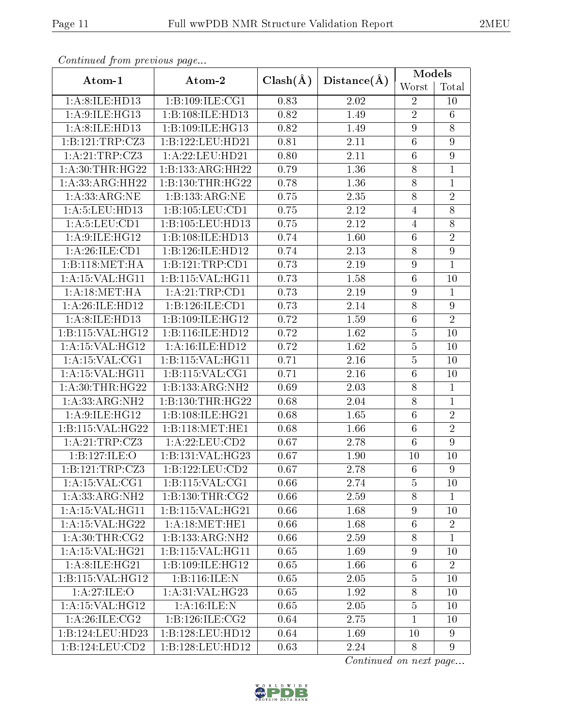| Continued from previous page |                     |              |                   | Models           |                  |
|------------------------------|---------------------|--------------|-------------------|------------------|------------------|
| Atom-1                       | Atom-2              | $Clash(\AA)$ | Distance(A)       | Worst            | Total            |
| 1:A:8:ILE:HD13               | 1:B:109:ILE:CG1     | 0.83         | 2.02              | $\overline{2}$   | 10               |
| 1: A:9: ILE: HG13            | 1:B:108:ILE:HD13    | 0.82         | 1.49              | $\overline{2}$   | $\overline{6}$   |
| 1:A:8:ILE:HD13               | 1:B:109:ILE:HG13    | 0.82         | 1.49              | $\boldsymbol{9}$ | 8                |
| 1:B:121:TRP:CZ3              | 1:B:122:LEU:HD21    | 0.81         | 2.11              | $\overline{6}$   | $\overline{9}$   |
| 1:A:21:TRP:CZ3               | 1: A:22:LEU:HD21    | 0.80         | 2.11              | $\,6$            | 9                |
| 1: A:30:THR:HG22             | 1:B:133:ARG:HH22    | 0.79         | 1.36              | 8                | $\mathbf{1}$     |
| 1: A: 33: ARG: HH22          | 1:B:130:THR:HG22    | 0.78         | 1.36              | $8\,$            | $\mathbf{1}$     |
| 1:A:33:ARG:NE                | 1:B:133:ARG:NE      | 0.75         | 2.35              | 8                | $\overline{2}$   |
| 1:A:5:LEU:HD13               | 1:B:105:LEU:CD1     | 0.75         | 2.12              | $\overline{4}$   | $8\,$            |
| 1: A: 5: LEU: CD1            | 1:B:105:LEU:HD13    | 0.75         | 2.12              | $\overline{4}$   | 8                |
| 1: A:9:ILE:HG12              | 1:B:108:ILE:HD13    | 0.74         | 1.60              | $\,6$            | $\overline{2}$   |
| 1: A:26: ILE: CD1            | 1:B:126:ILE:HD12    | 0.74         | 2.13              | 8                | 9                |
| 1:B:118:MET:HA               | 1:B:121:TRP:CD1     | 0.73         | 2.19              | $\boldsymbol{9}$ | $\mathbf{1}$     |
| 1:A:15:VAL:HG11              | 1:B:115:VAL:HG11    | 0.73         | 1.58              | $\sqrt{6}$       | 10               |
| 1: A:18: MET:HA              | 1: A:21:TRP:CD1     | 0.73         | 2.19              | $\boldsymbol{9}$ | $\mathbf 1$      |
| 1:A:26:ILE:HD12              | 1:B:126:ILE:CD1     | 0.73         | 2.14              | 8                | 9                |
| 1:A:8:ILE:HD13               | 1:B:109:ILE:HG12    | 0.72         | 1.59              | $6\phantom{.}6$  | $\overline{2}$   |
| 1:B:115:VAL:HG12             | 1:B:116:ILE:HD12    | 0.72         | 1.62              | $\overline{5}$   | 10               |
| 1:A:15:VAL:HG12              | 1:A:16:ILE:HD12     | 0.72         | 1.62              | $\overline{5}$   | 10               |
| 1:A:15:VAL:CG1               | 1:B:115:VAL:HG11    | 0.71         | 2.16              | $\overline{5}$   | 10               |
| 1: A:15: VAL:HGI1            | 1:B:115:VAL:CG1     | 0.71         | 2.16              | $6\phantom{.}6$  | 10               |
| 1: A:30:THR:HG22             | 1:B:133:ARG:NH2     | 0.69         | 2.03              | $8\,$            | $\mathbf{1}$     |
| 1: A: 33: ARG: NH2           | 1:B:130:THR:HG22    | 0.68         | $\overline{2.04}$ | $\overline{8}$   | $\mathbf{1}$     |
| 1: A:9:ILE:HG12              | 1:B:108:ILE:HG21    | 0.68         | 1.65              | $\,6$            | $\sqrt{2}$       |
| 1:B:115:VAL:HG22             | 1:B:118:MET:HE1     | 0.68         | 1.66              | $\overline{6}$   | $\overline{2}$   |
| 1:A:21:TRP:CZ3               | 1:A:22:LEU:CD2      | 0.67         | 2.78              | $6\phantom{.}6$  | $\overline{9}$   |
| 1:B:127:ILE:O                | 1:B:131:VAL:HG23    | 0.67         | 1.90              | 10               | 10               |
| 1:B:121:TRP:CZ3              | 1:B:122:LEU:CD2     | $0.67\,$     | 2.78              | $\overline{6}$   | $\boldsymbol{9}$ |
| 1:A:15:VAL:CG1               | 1:B:115:VAL:CG1     | 0.66         | 2.74              | $\overline{5}$   | 10               |
| 1: A: 33: ARG: NH2           | 1: B: 130: THR: CG2 | 0.66         | 2.59              | $8\,$            | 1                |
| 1: A:15: VAL:HGI1            | 1:B:115:VAL:HG21    | 0.66         | 1.68              | $\overline{9}$   | 10               |
| 1:A:15:VAL:HG22              | 1:A:18:MET:HE1      | 0.66         | 1.68              | $\,6\,$          | $\overline{2}$   |
| 1: A:30:THR:CG2              | 1:B:133:ARG:NH2     | 0.66         | 2.59              | 8                | $\overline{1}$   |
| 1: A:15: VAL:HG21            | 1:B:115:VAL:HG11    | 0.65         | 1.69              | $\boldsymbol{9}$ | 10               |
| 1: A:8: ILE: HG21            | 1:B:109:ILE:HG12    | 0.65         | 1.66              | $6\phantom{.}6$  | $\overline{2}$   |
| 1:B:115:VAL:HG12             | 1:B:116:ILE:N       | 0.65         | 2.05              | $\overline{5}$   | 10               |
| 1:A:27:ILE:O                 | 1: A:31: VAL: HG23  | 0.65         | 1.92              | 8                | 10               |
| 1: A:15: VAL:HG12            | 1: A:16: ILE:N      | 0.65         | 2.05              | $\overline{5}$   | 10               |
| 1: A:26: ILE: CG2            | 1: B: 126: ILE: CG2 | 0.64         | 2.75              | $\mathbf{1}$     | 10               |
| 1:B:124:LEU:HD23             | 1:B:128:LEU:HD12    | 0.64         | 1.69              | 10               | 9                |
| 1:B:124:LEU:CD2              | 1:B:128:LEU:HD12    | 0.63         | 2.24              | 8                | $9\phantom{.}$   |

 $Confinued$  from previce

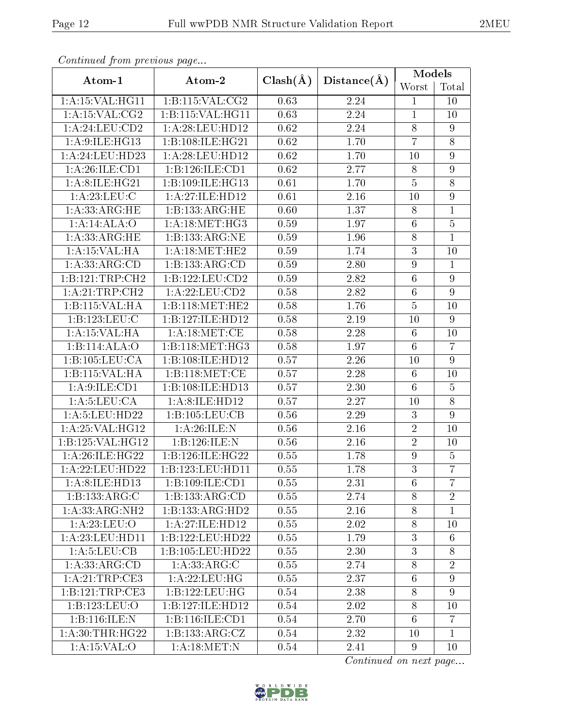| Continuea from previous page  |                     |                   |                   | Models           |                  |
|-------------------------------|---------------------|-------------------|-------------------|------------------|------------------|
| Atom-1                        | Atom-2              | $Clash(\AA)$      | Distance(A)       | Worst            | Total            |
| 1:A:15:VAL:HG11               | 1:B:115:VAL:CG2     | 0.63              | 2.24              | $\mathbf{1}$     | 10               |
| 1: A:15: VAL:CG2              | 1:B:115:VAL:HG11    | 0.63              | 2.24              | $\mathbf{1}$     | 10               |
| 1: A:24:LEU:CD2               | 1: A:28:LEU:HD12    | 0.62              | 2.24              | $8\,$            | 9                |
| 1: A:9:ILE:HG13               | 1:B:108:ILE:HG21    | 0.62              | 1.70              | $\overline{7}$   | $\overline{8}$   |
| 1: A:24:LEU:HD23              | 1: A:28:LEU:HD12    | 0.62              | 1.70              | 10               | 9                |
| 1: A:26: ILE: CD1             | 1:B:126:ILE:CD1     | $\overline{0.62}$ | 2.77              | $8\,$            | $\boldsymbol{9}$ |
| 1: A:8: ILE: H <sub>G21</sub> | 1:B:109:ILE:HG13    | 0.61              | 1.70              | $\bf 5$          | $\overline{8}$   |
| 1:A:23:LEU:C                  | 1:A:27:ILE:HD12     | 0.61              | 2.16              | 10               | 9                |
| 1: A: 33: ARG: HE             | 1:B:133:ARG:HE      | 0.60              | 1.37              | $8\,$            | $\mathbf{1}$     |
| 1:A:14:ALA:O                  | 1: A:18: MET:HG3    | 0.59              | 1.97              | $6\phantom{.}6$  | $\overline{5}$   |
| 1:A:33:ARG:HE                 | 1:B:133:ARG:NE      | 0.59              | 1.96              | 8                | $\mathbf{1}$     |
| 1:A:15:VAL:HA                 | 1: A:18:MET:HE2     | 0.59              | 1.74              | $\overline{3}$   | 10               |
| 1:A:33:ARG:CD                 | 1:B:133:ARG:CD      | 0.59              | 2.80              | $\overline{9}$   | $\mathbf{1}$     |
| 1:B:121:TRP:CH2               | 1:B:122:LEU:CD2     | 0.59              | 2.82              | $6\phantom{.}6$  | $9\phantom{.}$   |
| 1:A:21:TRP:CH2                | 1:A:22:LEU:CD2      | 0.58              | 2.82              | $6\phantom{.}6$  | 9                |
| 1:B:115:VAL:HA                | 1:B:118:MET:HE2     | 0.58              | 1.76              | $\overline{5}$   | 10               |
| 1:B:123:LEU:C                 | 1:B:127:ILE:HD12    | 0.58              | 2.19              | 10               | 9                |
| 1: A:15:VAL:HA                | 1: A:18: MET:CE     | 0.58              | 2.28              | $6\phantom{.}6$  | 10               |
| 1:B:114:ALA:O                 | 1:B:118:MET:HG3     | 0.58              | 1.97              | $\overline{6}$   | $\overline{7}$   |
| 1:B:105:LEU:CA                | 1:B:108:ILE:HD12    | 0.57              | 2.26              | 10               | 9                |
| 1:B:115:VAL:HA                | 1:B:118:MET:CE      | 0.57              | 2.28              | $6\phantom{.}6$  | 10               |
| 1: A:9: ILE: CD1              | 1:B:108:ILE:HD13    | 0.57              | 2.30              | $6\phantom{.}6$  | $\bf 5$          |
| 1: A:5: LEU: CA               | 1:A:8:ILE:HD12      | 0.57              | $\overline{2.27}$ | 10               | $\overline{8}$   |
| 1: A:5: LEU: HD22             | 1:B:105:LEU:CB      | 0.56              | 2.29              | 3                | $\overline{9}$   |
| 1:A:25:VAL:H <sub>G12</sub>   | 1: A:26: ILE:N      | 0.56              | 2.16              | $\overline{2}$   | 10               |
| 1:B:125:VAL:HG12              | 1:B:126:ILE:N       | 0.56              | 2.16              | $\overline{2}$   | 10               |
| 1:A:26:ILE:HG22               | 1:B:126:ILE:HG22    | 0.55              | 1.78              | $\boldsymbol{9}$ | $\overline{5}$   |
| 1:A:22:LEU:HD22               | 1:B:123:LEU:HD11    | 0.55              | 1.78              | $\overline{3}$   | $\overline{7}$   |
| 1:A:8:ILE:HD13                | 1:B:109:ILE:CD1     | 0.55              | 2.31              | 6                | $\overline{7}$   |
| 1:B:133:ARG:C                 | 1:B:133:ARG:CD      | 0.55              | 2.74              | $8\,$            | $\sqrt{2}$       |
| 1:A:33:ARG:NH2                | 1:B:133:ARG:HD2     | 0.55              | 2.16              | 8                | $\mathbf{1}$     |
| 1: A:23:LEU:O                 | 1: A:27: ILE:HD12   | 0.55              | 2.02              | $8\,$            | 10               |
| 1:A:23:LEU:HDI1               | 1:B:122:LEU:HD22    | 0.55              | 1.79              | 3                | 6                |
| 1: A:5: LEU: CB               | 1:B:105:LEU:HD22    | 0.55              | 2.30              | 3                | 8                |
| 1:A:33:ARG:CD                 | 1: A: 33: ARG: C    | 0.55              | 2.74              | 8                | $\overline{2}$   |
| 1: A:21:TRP:CE3               | 1:A:22:LEU:HG       | 0.55              | 2.37              | $6\phantom{.}6$  | $\overline{9}$   |
| 1:B:121:TRP:CE3               | 1:B:122:LEU:HG      | 0.54              | 2.38              | 8                | 9                |
| 1:B:123:LEU:O                 | 1:B:127:ILE:HD12    | 0.54              | 2.02              | $8\,$            | 10               |
| 1:B:116:ILE:N                 | 1: B: 116: ILE: CD1 | 0.54              | 2.70              | 6                | $\overline{7}$   |
| 1: A:30:THR:HG22              | 1:B:133:ARG:CZ      | 0.54              | 2.32              | 10               | $\mathbf{1}$     |
| 1:A:15:VAL:O                  | 1: A:18:MET:N       | 0.54              | 2.41              | 9                | 10               |

Continued from previous page.

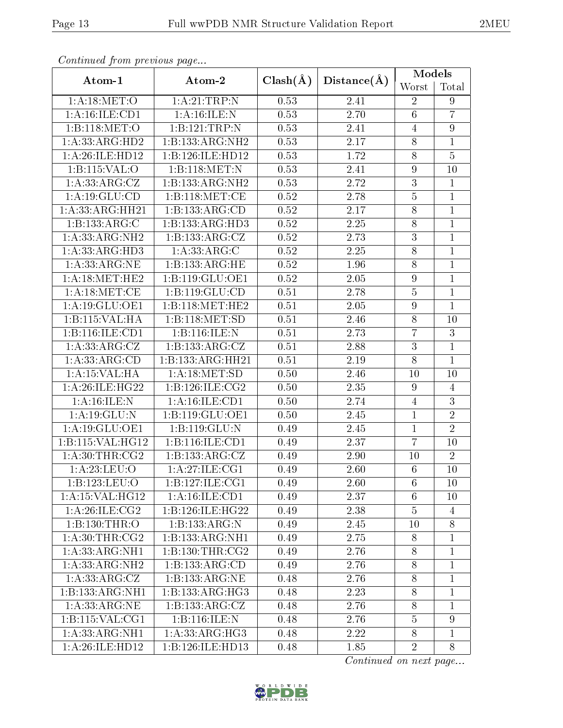| Continued from previous page       |                              |              |                   | Models                  |                  |
|------------------------------------|------------------------------|--------------|-------------------|-------------------------|------------------|
| Atom-1                             | Atom-2                       | $Clash(\AA)$ | Distance(A)       |                         | Total            |
| 1: A:18: MET:O                     | 1:A:21:TRP:N                 | 0.53         | 2.41              | Worst<br>$\overline{2}$ | $9\phantom{.}$   |
| 1:A:16:ILE:CD1                     | 1: A:16: ILE:N               | 0.53         | $\overline{2.70}$ | $\overline{6}$          | $\overline{7}$   |
| 1:B:118:MET:O                      | 1:B:121:TRP:N                | 0.53         | 2.41              | $\overline{4}$          | $\boldsymbol{9}$ |
| 1:A:33:ARG:HD2                     | 1:B:133:ARG:NH2              | 0.53         | 2.17              | $8\,$                   | $\mathbf{1}$     |
| 1:A:26:ILE:HD12                    | 1:B:126:ILE:HD12             | 0.53         | 1.72              | 8                       | $\overline{5}$   |
| 1:B:115:VAL:O                      | 1:B:118:MET:N                | 0.53         | 2.41              | $\boldsymbol{9}$        | 10               |
| $1:A:\overline{33:ARG:CZ}$         | 1:B:133:ARG:NH2              | 0.53         | 2.72              | $\overline{3}$          | $\mathbf{1}$     |
| 1: A: 19: GLU: CD                  | 1:B:118:MET:CE               | 0.52         | $\overline{2}.78$ | $\overline{5}$          | $\mathbf{1}$     |
| 1: A: 33: ARG: HH21                | 1:B:133:ARG:CD               | 0.52         | 2.17              | $8\,$                   | $\mathbf{1}$     |
| 1:B:133:ARG:C                      | $1:B:133:AR\overline{G:HD3}$ | 0.52         | 2.25              | 8                       | $\mathbf{1}$     |
| 1: A: 33: ARG: NH2                 | 1:B:133:ARG:CZ               | 0.52         | 2.73              | $\overline{3}$          | $\mathbf{1}$     |
| 1:A:33:ARG:HD3                     | 1: A: 33: ARG: C             | 0.52         | 2.25              | 8                       | $\mathbf{1}$     |
| 1:A:33:ARG:NE                      | 1:B:133:ARG:HE               | 0.52         | 1.96              | $8\,$                   | $\mathbf{1}$     |
| 1: A:18: MET:HE2                   | 1:B:119:GLU:OE1              | 0.52         | 2.05              | $\boldsymbol{9}$        | $\mathbf{1}$     |
| 1: A:18:MET:CE                     | 1:B:119:GLU:CD               | 0.51         | 2.78              | $\bf 5$                 | $\mathbf 1$      |
| 1: A:19: GLU:OE1                   | 1:B:118:MET:HE2              | 0.51         | 2.05              | 9                       | $\overline{1}$   |
| 1:B:115:VAL:HA                     | 1:B:118:MET:SD               | 0.51         | 2.46              | 8                       | 10               |
| 1:B:116:ILE:CD1                    | 1:B:116:ILE:N                | 0.51         | 2.73              | $\overline{7}$          | $\overline{3}$   |
| 1: A: 33: ARG: CZ                  | 1:B:133:ARG:CZ               | 0.51         | 2.88              | 3                       | $\mathbf{1}$     |
| 1: A: 33: ARG: CD                  | 1:B:133:ARG:HH21             | 0.51         | 2.19              | 8                       | $\overline{1}$   |
| 1:A:15:VAL:HA                      | 1: A:18: MET:SD              | 0.50         | 2.46              | 10                      | 10               |
| 1:A:26:ILE:HG22                    | 1:B:126:ILE:CG2              | 0.50         | 2.35              | 9                       | $\overline{4}$   |
| 1: A:16: ILE:N                     | 1: A: 16: ILE: CD1           | 0.50         | $\overline{2.74}$ | $\overline{4}$          | $\overline{3}$   |
| 1:A:19:GLU:N                       | 1:B:119:GLU:OE1              | 0.50         | 2.45              | 1                       | $\sqrt{2}$       |
| $1:A:\overline{19:GLU:OE1}$        | 1:B:119:GLU:N                | 0.49         | 2.45              | 1                       | $\overline{2}$   |
| 1:B:115:VAL:HG12                   | 1:B:116:ILE:CD1              | 0.49         | 2.37              | $\overline{7}$          | 10               |
| $1: A:30:THR: \overline{CG2}$      | 1:B:133:ARG:CZ               | 0.49         | 2.90              | 10                      | $\overline{2}$   |
| $1:A:23:\overline{\textrm{LEU:O}}$ | $1:A:\overline{27:ILE:CG1}$  | 0.49         | $\overline{2.60}$ | $6\,$                   | $10\,$           |
| 1:B:123:LEU:O                      | 1: B: 127: ILE: CG1          | 0.49         | 2.60              | 6                       | 10               |
| 1: A:15: VAL:HG12                  | 1: A:16: ILE: CD1            | 0.49         | 2.37              | 6                       | 10               |
| 1: A:26: ILE: CG2                  | 1:B:126:ILE:HG22             | 0.49         | 2.38              | $\overline{5}$          | $\overline{4}$   |
| 1:B:130:THR:O                      | 1:B:133:ARG:N                | 0.49         | 2.45              | 10                      | $8\,$            |
| 1: A:30:THR:CG2                    | 1:B:133:ARG:NH1              | 0.49         | 2.75              | 8                       | $\mathbf{1}$     |
| 1: A: 33: ARG: NH1                 | 1: B: 130: THR: CG2          | 0.49         | 2.76              | $8\,$                   | $\mathbf{1}$     |
| 1: A: 33: ARG: NH2                 | 1:B:133:ARG:CD               | 0.49         | 2.76              | $8\,$                   | $\mathbf 1$      |
| 1: A: 33: ARG: CZ                  | 1: B: 133: ARG: NE           | 0.48         | 2.76              | 8                       | $\mathbf 1$      |
| 1:B:133:ARG:NH1                    | 1:B:133:ARG:HG3              | 0.48         | 2.23              | 8                       | $\mathbf{1}$     |
| 1: A: 33: ARG: NE                  | 1:B:133:ARG:CZ               | 0.48         | 2.76              | $8\,$                   | $\mathbf{1}$     |
| 1: B: 115: VAL: CG1                | 1:B:116:ILE:N                | 0.48         | 2.76              | 5                       | 9                |
| 1: A: 33: ARG: NH1                 | 1: A: 33: ARG: HG3           | 0.48         | 2.22              | $8\,$                   | $\mathbf{1}$     |
| 1:A:26:ILE:HD12                    | 1:B:126:ILE:HD13             | 0.48         | 1.85              | $\overline{2}$          | 8                |

Continued from previous page...

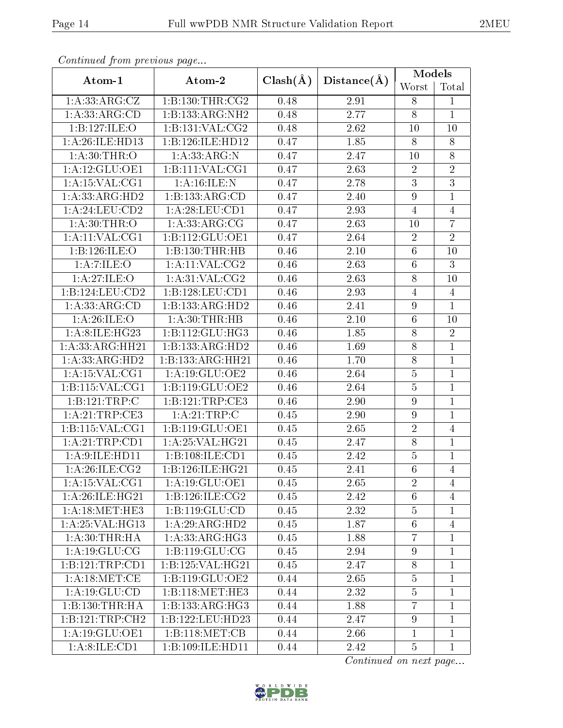| Continuea from previous page |                     |              |                   | <b>Models</b>    |                |
|------------------------------|---------------------|--------------|-------------------|------------------|----------------|
| Atom-1                       | Atom-2              | $Clash(\AA)$ | Distance(A)       | Worst            | Total          |
| 1: A: 33: ARG: CZ            | 1:B:130:THR:CG2     | 0.48         | 2.91              | 8                | 1              |
| 1:A:33:ARG:CD                | 1:B:133:ARG:NH2     | 0.48         | 2.77              | $\overline{8}$   | $\overline{1}$ |
| 1:B:127:ILE:O                | 1:B:131:VAL:CG2     | 0.48         | 2.62              | 10               | 10             |
| 1:A:26:ILE:HD13              | 1:B:126:ILE:HD12    | 0.47         | 1.85              | 8                | 8              |
| 1: A:30:THR:O                | 1: A:33:ARG:N       | 0.47         | 2.47              | 10               | $8\,$          |
| 1:A:12:GLU:OE1               | 1:B:111:VAL:CG1     | 0.47         | 2.63              | $\overline{2}$   | $\overline{2}$ |
| 1: A:15: VAL:CG1             | 1: A:16: ILE:N      | 0.47         | 2.78              | $\overline{3}$   | $\overline{3}$ |
| 1:A:33:ARG:HD2               | 1:B:133:ARG:CD      | 0.47         | 2.40              | $\overline{9}$   | $\mathbf{1}$   |
| 1: A:24:LEU:CD2              | 1: A:28: LEU:CD1    | 0.47         | 2.93              | $\overline{4}$   | $\overline{4}$ |
| 1: A:30:THR:O                | 1: A: 33: ARG: CG   | 0.47         | 2.63              | 10               | $\overline{7}$ |
| 1:A:11:VAL:CG1               | 1:B:112:GLU:OE1     | 0.47         | 2.64              | $\overline{2}$   | $\overline{2}$ |
| 1:B:126:ILE:O                | 1:B:130:THR:HB      | 0.46         | 2.10              | $\sqrt{6}$       | 10             |
| 1: A: 7: ILE: O              | 1:A:11:VAL:CG2      | 0.46         | 2.63              | $6\,$            | $\overline{3}$ |
| 1:A:27:ILE:O                 | 1: A:31: VAL: CG2   | 0.46         | 2.63              | $8\,$            | 10             |
| 1:B:124:LEU:CD2              | 1:B:128:LEU:CD1     | 0.46         | 2.93              | $\overline{4}$   | $\overline{4}$ |
| 1:A:33:ARG:CD                | 1:B:133:ARG:HD2     | 0.46         | 2.41              | $\overline{9}$   | $\mathbf{1}$   |
| 1: A:26: ILE:O               | 1: A:30:THR:HB      | 0.46         | 2.10              | $6\,$            | 10             |
| 1:A:8:ILE:HG23               | 1: B: 112: GLU: HG3 | 0.46         | 1.85              | $8\,$            | $\sqrt{2}$     |
| 1: A: 33: ARG: HH21          | 1:B:133:ARG:HD2     | 0.46         | 1.69              | $8\,$            | $\overline{1}$ |
| 1:A:33:ARG:HD2               | 1:B:133:ARG:HH21    | 0.46         | 1.70              | $8\,$            | $\mathbf{1}$   |
| 1:A:15:VAL:CG1               | 1: A:19: GLU:OE2    | 0.46         | 2.64              | $\overline{5}$   | $\mathbf{1}$   |
| 1: B:115: VAL:CG1            | 1:B:119:GLU:OE2     | 0.46         | 2.64              | $\bf 5$          | $\mathbf{1}$   |
| 1:B:121:TRP:C                | 1:B:121:TRP:CE3     | 0.46         | 2.90              | $\overline{9}$   | $\mathbf{1}$   |
| 1: A:21:TRP:CE3              | 1: A:21:TRP:C       | 0.45         | 2.90              | $\boldsymbol{9}$ | $\mathbf{1}$   |
| 1: B: 115: VAL: CG1          | 1:B:119:GLU:OE1     | 0.45         | 2.65              | $\overline{2}$   | $\overline{4}$ |
| 1:A:21:TRP:CD1               | 1:A:25:VAL:HG21     | 0.45         | 2.47              | $8\,$            | $\mathbf{1}$   |
| 1: A:9: ILE: HD11            | 1:B:108:ILE:CD1     | 0.45         | 2.42              | $\overline{5}$   | $\mathbf{1}$   |
| 1: A:26:1LE:CG2              | 1:B:126:ILE:HG21    | 0.45         | $\overline{2}.41$ | $\overline{6}$   | $\overline{4}$ |
| 1:A:15:VAL:CG1               | 1: A: 19: GLU: OE1  | 0.45         | 2.65              | $\overline{2}$   | 4              |
| 1: A:26: ILE: HG21           | 1:B:126:ILE:CG2     | 0.45         | 2.42              | 6                | 4              |
| 1: A:18: MET:HE3             | 1:B:119:GLU:CD      | 0.45         | 2.32              | $\overline{5}$   | $\mathbf{1}$   |
| 1: A:25:VAL:HG13             | 1:A:29:ARG:HD2      | 0.45         | 1.87              | $6\phantom{.}6$  | $\overline{4}$ |
| 1: A:30:THR:HA               | 1:A:33:ARG:HG3      | 0.45         | 1.88              | $\overline{7}$   | $\mathbf{1}$   |
| 1:A:19:GLU:CG                | 1:B:119:GLU:CG      | 0.45         | 2.94              | 9                | $\mathbf{1}$   |
| 1:B:121:TRP:CD1              | 1:B:125:VAL:HG21    | 0.45         | 2.47              | $8\,$            | $\mathbf{1}$   |
| 1: A:18: MET:CE              | 1:B:119:GLU:OE2     | 0.44         | 2.65              | $\overline{5}$   | $\mathbf{1}$   |
| 1: A: 19: GLU: CD            | 1:B:118:MET:HE3     | 0.44         | 2.32              | $\overline{5}$   | $\mathbf{1}$   |
| 1:B:130:THR:HA               | 1:B:133:ARG:HG3     | 0.44         | 1.88              | 7                | $\mathbf{1}$   |
| 1: B: 121: TRP: CH2          | 1:B:122:LEU:HD23    | 0.44         | 2.47              | 9                | $\mathbf 1$    |
| 1:A:19:GLU:OE1               | 1:B:118:MET:CB      | 0.44         | 2.66              | $\mathbf{1}$     | $\mathbf{1}$   |
| 1: A:8: ILE: CD1             | 1:B:109:ILE:HD11    | 0.44         | 2.42              | $\overline{5}$   | $\mathbf{1}$   |

Continued from previous page.

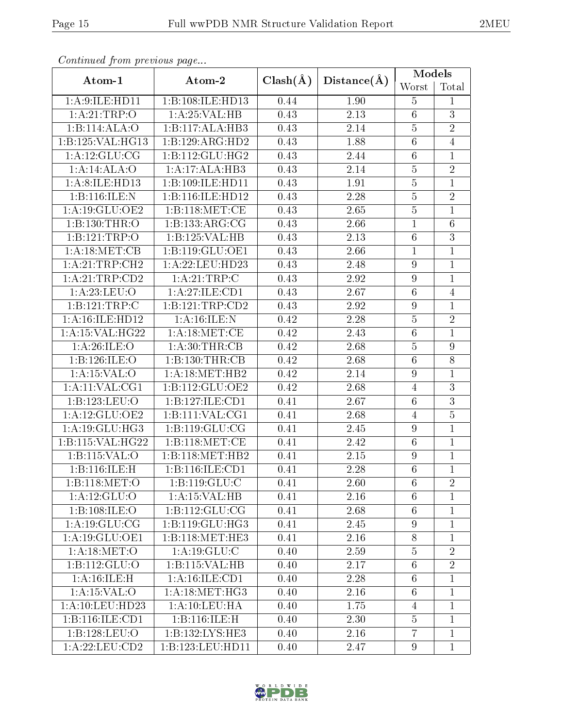| Continued from previous page |                     |              |             | <b>Models</b>    |                  |
|------------------------------|---------------------|--------------|-------------|------------------|------------------|
| Atom-1                       | Atom-2              | $Clash(\AA)$ | Distance(A) | Worst            | Total            |
| 1:A:9:ILE:HD11               | 1:B:108:ILE:HD13    | 0.44         | 1.90        | 5                | $\mathbf{1}$     |
| 1:A:21:TRP:O                 | 1:A:25:VAL:HB       | 0.43         | 2.13        | $\overline{6}$   | $\overline{3}$   |
| 1:B:114:ALA:O                | 1:B:117:ALA:HB3     | 0.43         | 2.14        | $\overline{5}$   | $\overline{2}$   |
| 1:B:125:VAL:HG13             | 1:B:129:ARG:HD2     | 0.43         | 1.88        | $\overline{6}$   | $\overline{4}$   |
| 1: A:12: GLU:CG              | 1:B:112:GLU:HG2     | 0.43         | 2.44        | $\sqrt{6}$       | $\mathbf{1}$     |
| 1:A:14:ALA:O                 | 1:A:17:ALA:HB3      | 0.43         | 2.14        | $\overline{5}$   | $\overline{2}$   |
| 1:A:8:ILE:HD13               | 1:B:109:ILE:HD11    | 0.43         | 1.91        | $\overline{5}$   | $\mathbf{1}$     |
| 1:B:116:ILE:N                | 1:B:116:ILE:HD12    | 0.43         | 2.28        | $\overline{5}$   | $\overline{2}$   |
| 1:A:19:GLU:OE2               | 1:B:118:MET:CE      | 0.43         | 2.65        | $\overline{5}$   | $\mathbf{1}$     |
| 1:B:130:THR:O                | 1:B:133:ARG:CG      | 0.43         | 2.66        | $\mathbf{1}$     | $6\phantom{.}6$  |
| 1:B:121:TRP:O                | 1:B:125:VAL:HB      | 0.43         | $2.13\,$    | $6\phantom{.}6$  | $\overline{3}$   |
| 1: A:18: MET:CB              | 1:B:119:GLU:OE1     | 0.43         | 2.66        | $\mathbf 1$      | $\mathbf{1}$     |
| 1:A:21:TRP:CH2               | 1: A:22:LEU:HD23    | 0.43         | 2.48        | 9                | $\mathbf{1}$     |
| 1:A:21:TRP:CD2               | 1:A:21:TRP:C        | 0.43         | 2.92        | $\overline{9}$   | $\mathbf{1}$     |
| 1:A:23:LEU:O                 | 1:A:27:ILE:CD1      | 0.43         | 2.67        | $\sqrt{6}$       | $\overline{4}$   |
| 1:B:121:TRP:C                | 1:B:121:TRP:CD2     | 0.43         | 2.92        | $\boldsymbol{9}$ | $\mathbf{1}$     |
| 1: A:16: ILE: HD12           | 1: A:16: ILE:N      | 0.42         | 2.28        | $\overline{5}$   | $\overline{2}$   |
| 1: A:15: VAL:HG22            | 1: A:18: MET:CE     | 0.42         | 2.43        | $6\phantom{.}6$  | $\mathbf{1}$     |
| 1: A:26: ILE: O              | 1: A:30:THR:CB      | 0.42         | 2.68        | $\overline{5}$   | $\boldsymbol{9}$ |
| 1:B:126:ILE:O                | 1:B:130:THR:CB      | 0.42         | 2.68        | $\,6\,$          | 8                |
| 1:A:15:VAL:O                 | 1: A:18:MET:HB2     | 0.42         | 2.14        | 9                | $\mathbf{1}$     |
| 1:A:11:VAL:CG1               | 1:B:112:GLU:OE2     | 0.42         | 2.68        | 4                | $\overline{3}$   |
| 1:B:123:LEU:O                | 1:B:127:ILE:CD1     | 0.41         | 2.67        | $6\phantom{.}6$  | $\overline{3}$   |
| 1:A:12:GLU:OE2               | 1: B: 111: VAL: CG1 | 0.41         | 2.68        | $\overline{4}$   | $\overline{5}$   |
| 1:A:19:GLU:HG3               | 1:B:119:GLU:CG      | 0.41         | 2.45        | $\overline{9}$   | $\mathbf{1}$     |
| 1:B:115:VAL:HG22             | 1:B:118:MET:CE      | 0.41         | 2.42        | $6\phantom{.}6$  | $\mathbf{1}$     |
| 1:B:115:VAL:O                | 1:B:118:MET:HB2     | 0.41         | 2.15        | $\boldsymbol{9}$ | $\mathbf{1}$     |
| 1:B:116:ILE:H                | 1:B:116:ILE:CD1     | 0.41         | 2.28        | $\overline{6}$   | $\overline{1}$   |
| 1:B:118:MET:O                | 1: B: 119: GLU: C   | 0.41         | 2.60        | 6                | $\overline{2}$   |
| 1: A:12: GLU:O               | 1:A:15:VAL:HB       | 0.41         | 2.16        | $6\phantom{.}6$  | $\mathbf{1}$     |
| 1:B:108:ILE:O                | 1:B:112:GLU:CG      | 0.41         | 2.68        | $6\phantom{.}6$  | $\mathbf{1}$     |
| 1:A:19:GLU:CG                | 1:B:119:GLU:HG3     | 0.41         | 2.45        | 9                | $\mathbf{1}$     |
| 1: A:19: GLU:OE1             | 1:B:118:MET:HE3     | 0.41         | 2.16        | 8                | $\mathbf{1}$     |
| 1: A:18: MET:O               | 1: A: 19: GLU: C    | 0.40         | 2.59        | $\overline{5}$   | $\overline{2}$   |
| 1:B:112:GLU:O                | 1:B:115:VAL:HB      | 0.40         | 2.17        | $6\phantom{.}6$  | $\overline{2}$   |
| 1:A:16:ILE:H                 | 1: A:16: ILE: CD1   | 0.40         | 2.28        | $6\phantom{.}6$  | $\mathbf{1}$     |
| 1:A:15:VAL:O                 | 1: A:18:MET:HG3     | 0.40         | 2.16        | $6\phantom{.}6$  | $\mathbf{1}$     |
| 1:A:10:LEU:HD23              | 1: A: 10: LEU: HA   | 0.40         | 1.75        | $\overline{4}$   | $\mathbf{1}$     |
| 1:B:116:ILE:CD1              | 1:B:116:ILE:H       | 0.40         | 2.30        | $\overline{5}$   | $\mathbf{1}$     |
| 1:B:128:LEU:O                | 1:B:132:LYS:HE3     | 0.40         | 2.16        | $\overline{7}$   | $\mathbf{1}$     |
| 1: A:22: LEU:CD2             | 1:B:123:LEU:HD11    | 0.40         | 2.47        | $9\phantom{.0}$  | $\mathbf{1}$     |

Continued from previous page.

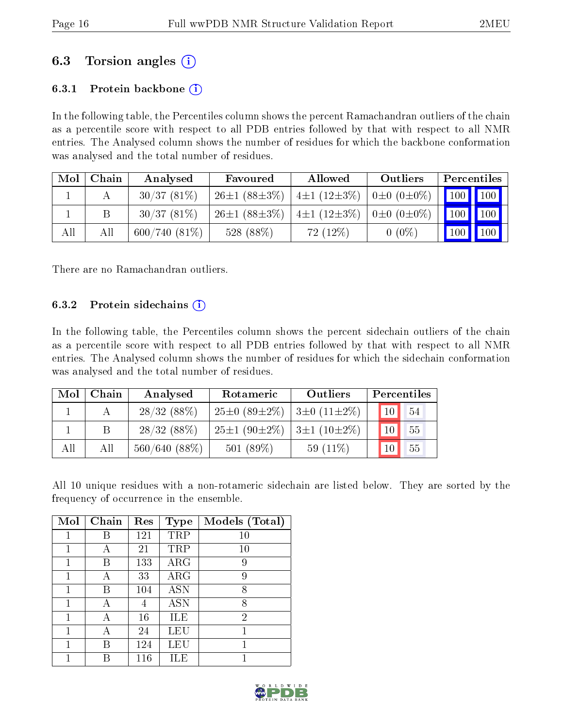## 6.3 Torsion angles (i)

### 6.3.1 Protein backbone  $(i)$

In the following table, the Percentiles column shows the percent Ramachandran outliers of the chain as a percentile score with respect to all PDB entries followed by that with respect to all NMR entries. The Analysed column shows the number of residues for which the backbone conformation was analysed and the total number of residues.

| Mol | Chain | Analysed        | Favoured           | <b>Allowed</b>                                   | Outliers | Percentiles                     |  |
|-----|-------|-----------------|--------------------|--------------------------------------------------|----------|---------------------------------|--|
|     |       | 30/37(81%)      | $26\pm1(88\pm3\%)$ | $\pm 1$ (12±3%) $\pm 0$ (0±0%)                   |          |                                 |  |
|     |       | 30/37(81%)      | $26\pm1(88\pm3\%)$ | $4\pm1$ (12 $\pm3\%$ )   0 $\pm$ 0 (0 $\pm0\%$ ) |          | $\vert$ 100 $\vert$ 100 $\vert$ |  |
| All | All   | $600/740(81\%)$ | 528 (88%)          | $72(12\%)$                                       | $0(0\%)$ | $\mid$ 100 $\mid$ 100 $\mid$    |  |

There are no Ramachandran outliers.

#### 6.3.2 Protein sidechains  $\hat{1}$

In the following table, the Percentiles column shows the percent sidechain outliers of the chain as a percentile score with respect to all PDB entries followed by that with respect to all NMR entries. The Analysed column shows the number of residues for which the sidechain conformation was analysed and the total number of residues.

| Mol | Chain | Analysed     | Rotameric                                         | Outliers    |                 | Percentiles |
|-----|-------|--------------|---------------------------------------------------|-------------|-----------------|-------------|
|     |       | 28/32(88%)   | $25\pm0$ (89 $\pm2\%$ )   3 $\pm0$ (11 $\pm2\%$ ) |             | 10 <sup>1</sup> | 54          |
|     |       | 28/32(88%)   | $25\pm1(90\pm2\%)$ 3±1 (10±2%)                    |             | 10 <sup>1</sup> | 55          |
| All | All   | 560/640(88%) | 501 $(89\%)$                                      | 59 $(11\%)$ | 10 <sup>°</sup> | 55          |

All 10 unique residues with a non-rotameric sidechain are listed below. They are sorted by the frequency of occurrence in the ensemble.

| Mol | Chain | Res | <b>Type</b> | Models (Total) |
|-----|-------|-----|-------------|----------------|
|     | В     | 121 | TRP         | 10             |
| 1   | А     | 21  | TRP         | 10             |
|     | В     | 133 | $\rm{ARG}$  | 9              |
| 1   |       | 33  | $\rm{ARG}$  | 9              |
| 1   | В     | 104 | <b>ASN</b>  | 8              |
| 1   | А     | 4   | ASN         | 8              |
| 1   | А     | 16  | ILE         | $\overline{2}$ |
| 1   | А     | 24  | LEU         | 1              |
|     | В     | 124 | LEU         | 1              |
|     | К     | 116 | ILE         |                |

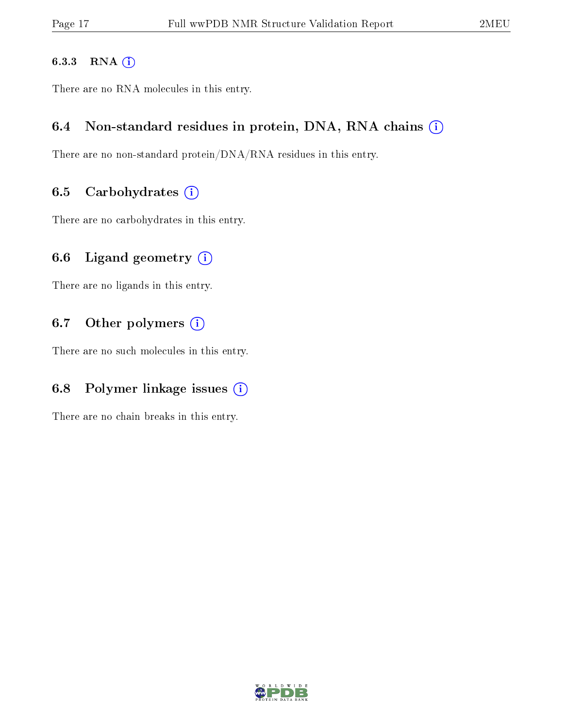#### 6.3.3 RNA [O](https://www.wwpdb.org/validation/2017/NMRValidationReportHelp#rna)i

There are no RNA molecules in this entry.

### 6.4 Non-standard residues in protein, DNA, RNA chains (i)

There are no non-standard protein/DNA/RNA residues in this entry.

### 6.5 Carbohydrates  $(i)$

There are no carbohydrates in this entry.

### 6.6 Ligand geometry  $(i)$

There are no ligands in this entry.

### 6.7 [O](https://www.wwpdb.org/validation/2017/NMRValidationReportHelp#nonstandard_residues_and_ligands)ther polymers (i)

There are no such molecules in this entry.

### 6.8 Polymer linkage issues  $(i)$

There are no chain breaks in this entry.

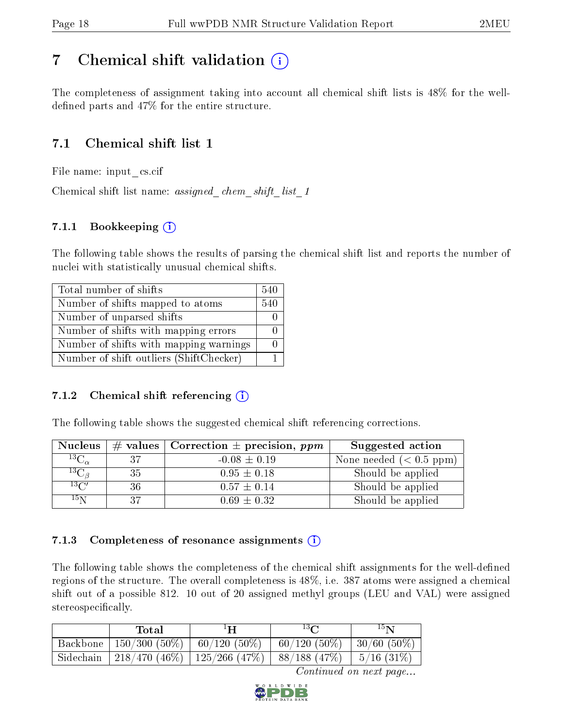## <span id="page-17-0"></span>7 Chemical shift validation  $\left( \begin{array}{c} \overline{1} \end{array} \right)$

The completeness of assignment taking into account all chemical shift lists is 48% for the welldefined parts and  $47\%$  for the entire structure.

## 7.1 Chemical shift list 1

File name: input\_cs.cif

Chemical shift list name: assigned chem shift list 1

### 7.1.1 Bookkeeping (i)

The following table shows the results of parsing the chemical shift list and reports the number of nuclei with statistically unusual chemical shifts.

| Total number of shifts                  | 540 |
|-----------------------------------------|-----|
| Number of shifts mapped to atoms        | 540 |
| Number of unparsed shifts               |     |
| Number of shifts with mapping errors    |     |
| Number of shifts with mapping warnings  |     |
| Number of shift outliers (ShiftChecker) |     |

### 7.1.2 Chemical shift referencing  $(i)$

The following table shows the suggested chemical shift referencing corrections.

| <b>Nucleus</b>      |     | # values   Correction $\pm$ precision, ppm | Suggested action        |
|---------------------|-----|--------------------------------------------|-------------------------|
| ${}^{13}C_{\alpha}$ | -37 | $-0.08 \pm 0.19$                           | None needed $(0.5 ppm)$ |
| ${}^{13}C_{\beta}$  | 35  | $0.95 \pm 0.18$                            | Should be applied       |
| $13\text{C}$        | 36  | $0.57 \pm 0.14$                            | Should be applied       |
| $15\,\mathrm{N}$    | 37  | $0.69 \pm 0.32$                            | Should be applied       |

### 7.1.3 Completeness of resonance assignments  $(i)$

The following table shows the completeness of the chemical shift assignments for the well-defined regions of the structure. The overall completeness is 48%, i.e. 387 atoms were assigned a chemical shift out of a possible 812. 10 out of 20 assigned methyl groups (LEU and VAL) were assigned stereospecifically.

| Total                                   | $^1\mathbf{H}$                                                        | $13\Omega$     | $15\mathrm{N}$ |
|-----------------------------------------|-----------------------------------------------------------------------|----------------|----------------|
| Backbone   150/300 (50%)   60/120 (50%) |                                                                       | $60/120(50\%)$ | 30/60 (50%)    |
|                                         | Sidechain   218/470 (46%)   125/266 (47%)   88/188 (47%)   5/16 (31%) |                |                |